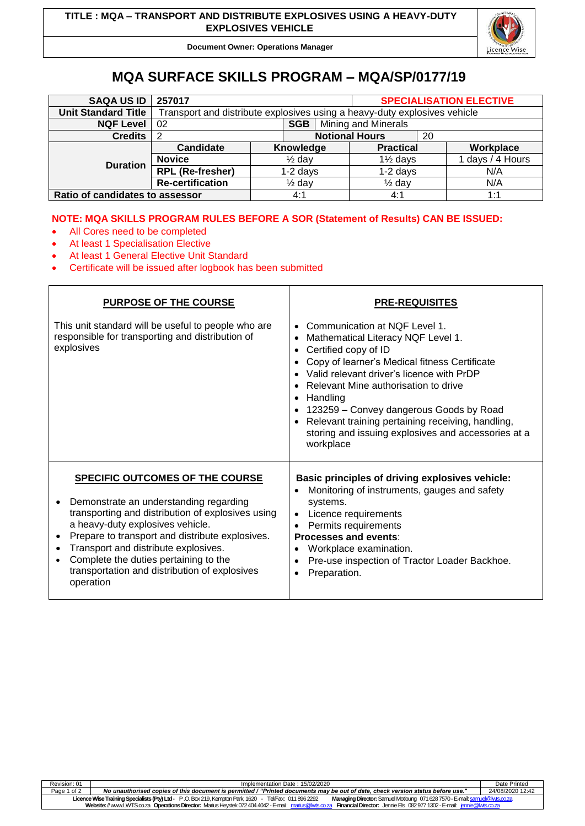

**Document Owner: Operations Manager**

# **MQA SURFACE SKILLS PROGRAM – MQA/SP/0177/19**

| <b>SAQA US ID</b>               | 257017                                                                    |                   |                       |  | <b>SPECIALISATION ELECTIVE</b> |  |                  |
|---------------------------------|---------------------------------------------------------------------------|-------------------|-----------------------|--|--------------------------------|--|------------------|
| <b>Unit Standard Title</b>      | Transport and distribute explosives using a heavy-duty explosives vehicle |                   |                       |  |                                |  |                  |
| <b>NQF Level</b>                | 02                                                                        | SGB               | Mining and Minerals   |  |                                |  |                  |
| <b>Credits</b>                  |                                                                           |                   | <b>Notional Hours</b> |  | 20                             |  |                  |
| <b>Duration</b>                 | Candidate                                                                 |                   | Knowledge             |  | <b>Practical</b>               |  | Workplace        |
|                                 | <b>Novice</b>                                                             | $\frac{1}{2}$ day |                       |  | $1\frac{1}{2}$ days            |  | 1 days / 4 Hours |
|                                 | <b>RPL</b> (Re-fresher)                                                   | $1-2$ days        |                       |  | $1-2$ days                     |  | N/A              |
|                                 | <b>Re-certification</b>                                                   | $\frac{1}{2}$ day |                       |  | $\frac{1}{2}$ day              |  | N/A              |
| Ratio of candidates to assessor |                                                                           |                   | 4:1                   |  | 4:1                            |  | 1:1              |

# **NOTE: MQA SKILLS PROGRAM RULES BEFORE A SOR (Statement of Results) CAN BE ISSUED:**

Τ

- All Cores need to be completed
- At least 1 Specialisation Elective

I

- At least 1 General Elective Unit Standard
- Certificate will be issued after logbook has been submitted

| <b>PURPOSE OF THE COURSE</b>                                                                                                                                                                                                                                                                                                                                                                          | <b>PRE-REQUISITES</b>                                                                                                                                                                                                                                                                                                                                                                                                                                    |  |  |  |  |
|-------------------------------------------------------------------------------------------------------------------------------------------------------------------------------------------------------------------------------------------------------------------------------------------------------------------------------------------------------------------------------------------------------|----------------------------------------------------------------------------------------------------------------------------------------------------------------------------------------------------------------------------------------------------------------------------------------------------------------------------------------------------------------------------------------------------------------------------------------------------------|--|--|--|--|
| This unit standard will be useful to people who are<br>responsible for transporting and distribution of<br>explosives                                                                                                                                                                                                                                                                                 | Communication at NOF Level 1.<br>$\bullet$<br>Mathematical Literacy NQF Level 1.<br>$\bullet$<br>Certified copy of ID<br>Copy of learner's Medical fitness Certificate<br>Valid relevant driver's licence with PrDP<br>Relevant Mine authorisation to drive<br>Handling<br>$\bullet$<br>123259 – Convey dangerous Goods by Road<br>Relevant training pertaining receiving, handling,<br>storing and issuing explosives and accessories at a<br>workplace |  |  |  |  |
| <b>SPECIFIC OUTCOMES OF THE COURSE</b><br>Demonstrate an understanding regarding<br>$\bullet$<br>transporting and distribution of explosives using<br>a heavy-duty explosives vehicle.<br>Prepare to transport and distribute explosives.<br>Transport and distribute explosives.<br>Complete the duties pertaining to the<br>$\bullet$<br>transportation and distribution of explosives<br>operation | Basic principles of driving explosives vehicle:<br>Monitoring of instruments, gauges and safety<br>systems.<br>Licence requirements<br>Permits requirements<br><b>Processes and events:</b><br>Workplace examination.<br>$\bullet$<br>Pre-use inspection of Tractor Loader Backhoe.<br>Preparation.<br>$\bullet$                                                                                                                                         |  |  |  |  |